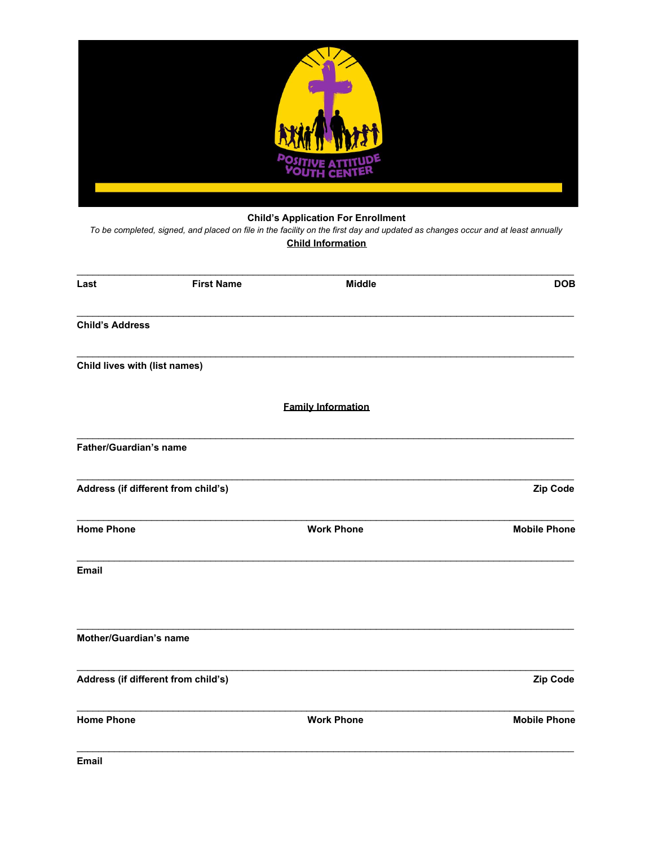

# **Child's Application For Enrollment**

To be completed, signed, and placed on file in the facility on the first day and updated as changes occur and at least annually **Child Information** 

| Zip Code            |
|---------------------|
| <b>Mobile Phone</b> |
|                     |
|                     |
| <b>Zip Code</b>     |
| <b>Mobile Phone</b> |
|                     |

Email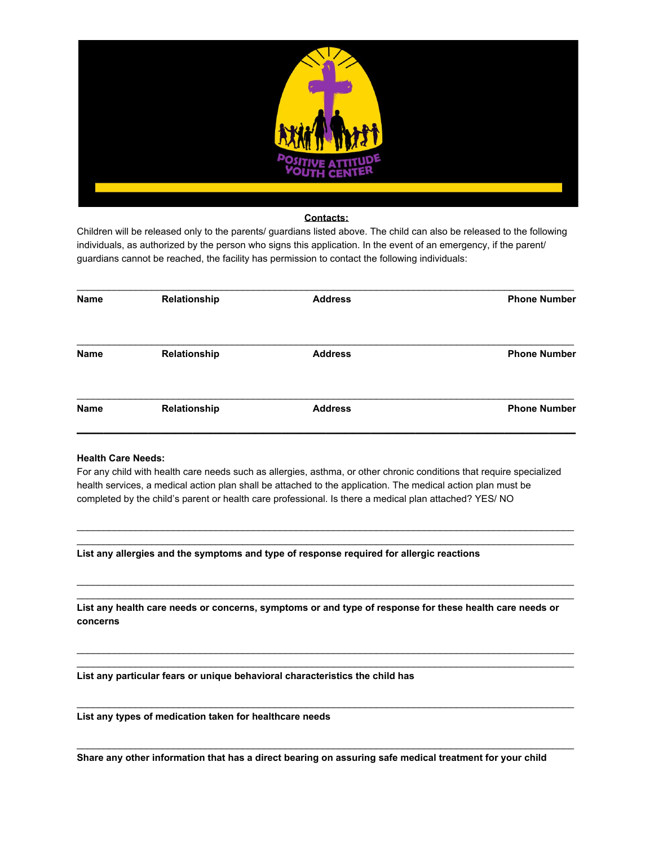

## **Contacts:**

Children will be released only to the parents/ guardians listed above. The child can also be released to the following individuals, as authorized by the person who signs this application. In the event of an emergency, if the parent/ guardians cannot be reached, the facility has permission to contact the following individuals:

| <b>Name</b> | Relationship | <b>Address</b> | <b>Phone Number</b> |
|-------------|--------------|----------------|---------------------|
| <b>Name</b> | Relationship | <b>Address</b> | <b>Phone Number</b> |
| <b>Name</b> | Relationship | <b>Address</b> | <b>Phone Number</b> |

# **Health Care Needs:**

For any child with health care needs such as allergies, asthma, or other chronic conditions that require specialized health services, a medical action plan shall be attached to the application. The medical action plan must be completed by the child's parent or health care professional. Is there a medical plan attached? YES/ NO

\_\_\_\_\_\_\_\_\_\_\_\_\_\_\_\_\_\_\_\_\_\_\_\_\_\_\_\_\_\_\_\_\_\_\_\_\_\_\_\_\_\_\_\_\_\_\_\_\_\_\_\_\_\_\_\_\_\_\_\_\_\_\_\_\_\_\_\_\_\_\_\_\_\_\_\_\_\_\_\_\_\_\_\_\_\_\_\_\_\_\_\_\_ \_\_\_\_\_\_\_\_\_\_\_\_\_\_\_\_\_\_\_\_\_\_\_\_\_\_\_\_\_\_\_\_\_\_\_\_\_\_\_\_\_\_\_\_\_\_\_\_\_\_\_\_\_\_\_\_\_\_\_\_\_\_\_\_\_\_\_\_\_\_\_\_\_\_\_\_\_\_\_\_\_\_\_\_\_\_\_\_\_\_\_\_\_

\_\_\_\_\_\_\_\_\_\_\_\_\_\_\_\_\_\_\_\_\_\_\_\_\_\_\_\_\_\_\_\_\_\_\_\_\_\_\_\_\_\_\_\_\_\_\_\_\_\_\_\_\_\_\_\_\_\_\_\_\_\_\_\_\_\_\_\_\_\_\_\_\_\_\_\_\_\_\_\_\_\_\_\_\_\_\_\_\_\_\_\_\_ \_\_\_\_\_\_\_\_\_\_\_\_\_\_\_\_\_\_\_\_\_\_\_\_\_\_\_\_\_\_\_\_\_\_\_\_\_\_\_\_\_\_\_\_\_\_\_\_\_\_\_\_\_\_\_\_\_\_\_\_\_\_\_\_\_\_\_\_\_\_\_\_\_\_\_\_\_\_\_\_\_\_\_\_\_\_\_\_\_\_\_\_\_

\_\_\_\_\_\_\_\_\_\_\_\_\_\_\_\_\_\_\_\_\_\_\_\_\_\_\_\_\_\_\_\_\_\_\_\_\_\_\_\_\_\_\_\_\_\_\_\_\_\_\_\_\_\_\_\_\_\_\_\_\_\_\_\_\_\_\_\_\_\_\_\_\_\_\_\_\_\_\_\_\_\_\_\_\_\_\_\_\_\_\_\_\_ \_\_\_\_\_\_\_\_\_\_\_\_\_\_\_\_\_\_\_\_\_\_\_\_\_\_\_\_\_\_\_\_\_\_\_\_\_\_\_\_\_\_\_\_\_\_\_\_\_\_\_\_\_\_\_\_\_\_\_\_\_\_\_\_\_\_\_\_\_\_\_\_\_\_\_\_\_\_\_\_\_\_\_\_\_\_\_\_\_\_\_\_\_

\_\_\_\_\_\_\_\_\_\_\_\_\_\_\_\_\_\_\_\_\_\_\_\_\_\_\_\_\_\_\_\_\_\_\_\_\_\_\_\_\_\_\_\_\_\_\_\_\_\_\_\_\_\_\_\_\_\_\_\_\_\_\_\_\_\_\_\_\_\_\_\_\_\_\_\_\_\_\_\_\_\_\_\_\_\_\_\_\_\_\_\_\_

\_\_\_\_\_\_\_\_\_\_\_\_\_\_\_\_\_\_\_\_\_\_\_\_\_\_\_\_\_\_\_\_\_\_\_\_\_\_\_\_\_\_\_\_\_\_\_\_\_\_\_\_\_\_\_\_\_\_\_\_\_\_\_\_\_\_\_\_\_\_\_\_\_\_\_\_\_\_\_\_\_\_\_\_\_\_\_\_\_\_\_\_\_

**List any allergies and the symptoms and type of response required for allergic reactions**

**List any health care needs or concerns, symptoms or and type of response for these health care needs or concerns**

**List any particular fears or unique behavioral characteristics the child has**

**List any types of medication taken for healthcare needs**

**Share any other information that has a direct bearing on assuring safe medical treatment for your child**